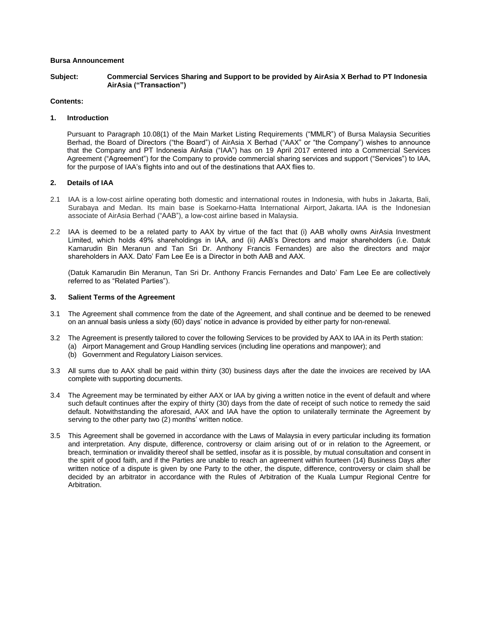# **Bursa Announcement**

**Subject: Commercial Services Sharing and Support to be provided by AirAsia X Berhad to PT Indonesia AirAsia ("Transaction")**

# **Contents:**

### **1. Introduction**

Pursuant to Paragraph 10.08(1) of the Main Market Listing Requirements ("MMLR") of Bursa Malaysia Securities Berhad, the Board of Directors ("the Board") of AirAsia X Berhad ("AAX" or "the Company") wishes to announce that the Company and PT Indonesia AirAsia ("IAA") has on 19 April 2017 entered into a Commercial Services Agreement ("Agreement") for the Company to provide commercial sharing services and support ("Services") to IAA, for the purpose of IAA's flights into and out of the destinations that AAX flies to.

### **2. Details of IAA**

- 2.1 IAA is a low-cost airline operating both domestic and international routes in Indonesia, with hubs in Jakarta, Bali, Surabaya and Medan. Its main base is Soekarno-Hatta International Airport, Jakarta. IAA is the Indonesian associate of AirAsia Berhad ("AAB"), a low-cost airline based in Malaysia.
- 2.2 IAA is deemed to be a related party to AAX by virtue of the fact that (i) AAB wholly owns AirAsia Investment Limited, which holds 49% shareholdings in IAA, and (ii) AAB's Directors and major shareholders (i.e. Datuk Kamarudin Bin Meranun and Tan Sri Dr. Anthony Francis Fernandes) are also the directors and major shareholders in AAX. Dato' Fam Lee Ee is a Director in both AAB and AAX.

(Datuk Kamarudin Bin Meranun, Tan Sri Dr. Anthony Francis Fernandes and Dato' Fam Lee Ee are collectively referred to as "Related Parties").

### **3. Salient Terms of the Agreement**

- 3.1 The Agreement shall commence from the date of the Agreement, and shall continue and be deemed to be renewed on an annual basis unless a sixty (60) days' notice in advance is provided by either party for non-renewal.
- 3.2 The Agreement is presently tailored to cover the following Services to be provided by AAX to IAA in its Perth station: (a) Airport Management and Group Handling services (including line operations and manpower); and
	- (b) Government and Regulatory Liaison services.
- 3.3 All sums due to AAX shall be paid within thirty (30) business days after the date the invoices are received by IAA complete with supporting documents.
- 3.4 The Agreement may be terminated by either AAX or IAA by giving a written notice in the event of default and where such default continues after the expiry of thirty (30) days from the date of receipt of such notice to remedy the said default. Notwithstanding the aforesaid, AAX and IAA have the option to unilaterally terminate the Agreement by serving to the other party two (2) months' written notice.
- 3.5 This Agreement shall be governed in accordance with the Laws of Malaysia in every particular including its formation and interpretation. Any dispute, difference, controversy or claim arising out of or in relation to the Agreement, or breach, termination or invalidity thereof shall be settled, insofar as it is possible, by mutual consultation and consent in the spirit of good faith, and if the Parties are unable to reach an agreement within fourteen (14) Business Days after written notice of a dispute is given by one Party to the other, the dispute, difference, controversy or claim shall be decided by an arbitrator in accordance with the Rules of Arbitration of the Kuala Lumpur Regional Centre for Arbitration.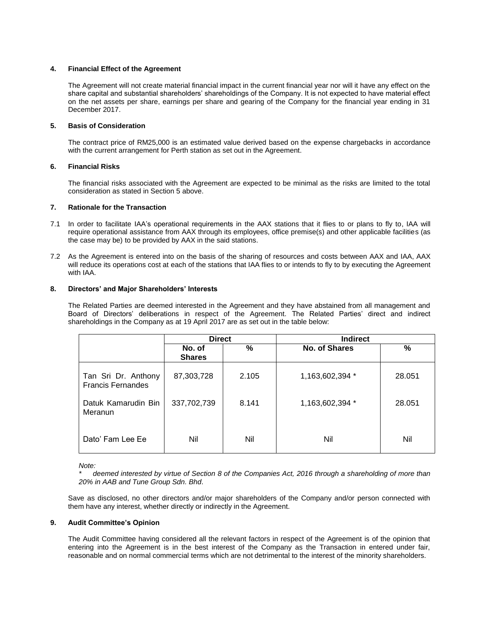# **4. Financial Effect of the Agreement**

The Agreement will not create material financial impact in the current financial year nor will it have any effect on the share capital and substantial shareholders' shareholdings of the Company. It is not expected to have material effect on the net assets per share, earnings per share and gearing of the Company for the financial year ending in 31 December 2017.

# **5. Basis of Consideration**

The contract price of RM25,000 is an estimated value derived based on the expense chargebacks in accordance with the current arrangement for Perth station as set out in the Agreement.

### **6. Financial Risks**

The financial risks associated with the Agreement are expected to be minimal as the risks are limited to the total consideration as stated in Section 5 above.

# **7. Rationale for the Transaction**

- 7.1 In order to facilitate IAA's operational requirements in the AAX stations that it flies to or plans to fly to, IAA will require operational assistance from AAX through its employees, office premise(s) and other applicable facilities (as the case may be) to be provided by AAX in the said stations.
- 7.2 As the Agreement is entered into on the basis of the sharing of resources and costs between AAX and IAA, AAX will reduce its operations cost at each of the stations that IAA flies to or intends to fly to by executing the Agreement with IAA.

### **8. Directors' and Major Shareholders' Interests**

The Related Parties are deemed interested in the Agreement and they have abstained from all management and Board of Directors' deliberations in respect of the Agreement. The Related Parties' direct and indirect shareholdings in the Company as at 19 April 2017 are as set out in the table below:

|                                                 | <b>Direct</b>           |       | <b>Indirect</b>      |        |
|-------------------------------------------------|-------------------------|-------|----------------------|--------|
|                                                 | No. of<br><b>Shares</b> | %     | <b>No. of Shares</b> | %      |
| Tan Sri Dr. Anthony<br><b>Francis Fernandes</b> | 87,303,728              | 2.105 | 1,163,602,394 *      | 28.051 |
| Datuk Kamarudin Bin<br>Meranun                  | 337,702,739             | 8.141 | 1,163,602,394 *      | 28.051 |
| Dato' Fam Lee Ee                                | Nil                     | Nil   | Nil                  | Nil    |

#### *Note:*

*\* deemed interested by virtue of Section 8 of the Companies Act, 2016 through a shareholding of more than 20% in AAB and Tune Group Sdn. Bhd*.

Save as disclosed, no other directors and/or major shareholders of the Company and/or person connected with them have any interest, whether directly or indirectly in the Agreement.

#### **9. Audit Committee's Opinion**

The Audit Committee having considered all the relevant factors in respect of the Agreement is of the opinion that entering into the Agreement is in the best interest of the Company as the Transaction in entered under fair, reasonable and on normal commercial terms which are not detrimental to the interest of the minority shareholders.